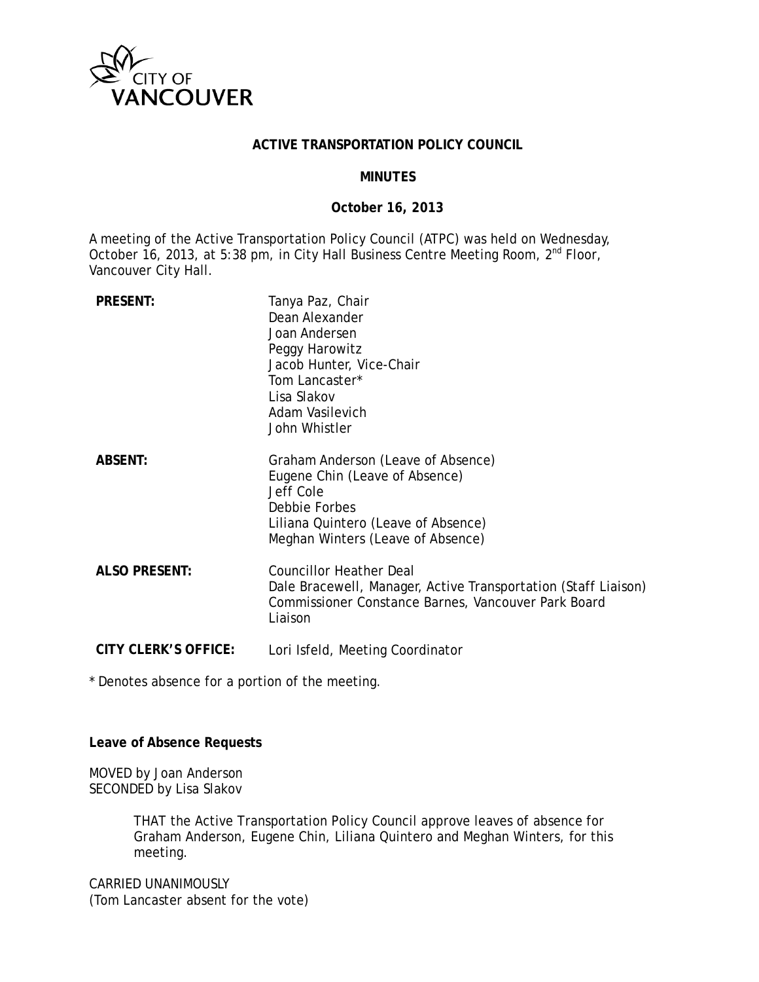

#### **ACTIVE TRANSPORTATION POLICY COUNCIL**

#### **MINUTES**

#### **October 16, 2013**

A meeting of the Active Transportation Policy Council (ATPC) was held on Wednesday, October 16, 2013, at 5:38 pm, in City Hall Business Centre Meeting Room, 2<sup>nd</sup> Floor, Vancouver City Hall.

| <b>PRESENT:</b>             | Tanya Paz, Chair<br>Dean Alexander<br>Joan Andersen<br>Peggy Harowitz<br>Jacob Hunter, Vice-Chair<br>Tom Lancaster*<br>Lisa Slakov<br>Adam Vasilevich<br>John Whistler         |
|-----------------------------|--------------------------------------------------------------------------------------------------------------------------------------------------------------------------------|
| <b>ABSENT:</b>              | Graham Anderson (Leave of Absence)<br>Eugene Chin (Leave of Absence)<br>Jeff Cole<br>Debbie Forbes<br>Liliana Quintero (Leave of Absence)<br>Meghan Winters (Leave of Absence) |
| <b>ALSO PRESENT:</b>        | <b>Councillor Heather Deal</b><br>Dale Bracewell, Manager, Active Transportation (Staff Liaison)<br>Commissioner Constance Barnes, Vancouver Park Board<br>Liaison             |
| <b>CITY CLERK'S OFFICE:</b> | Lori Isfeld, Meeting Coordinator                                                                                                                                               |

\* Denotes absence for a portion of the meeting.

#### **Leave of Absence Requests**

MOVED by Joan Anderson SECONDED by Lisa Slakov

> THAT the Active Transportation Policy Council approve leaves of absence for Graham Anderson, Eugene Chin, Liliana Quintero and Meghan Winters, for this meeting.

CARRIED UNANIMOUSLY (Tom Lancaster absent for the vote)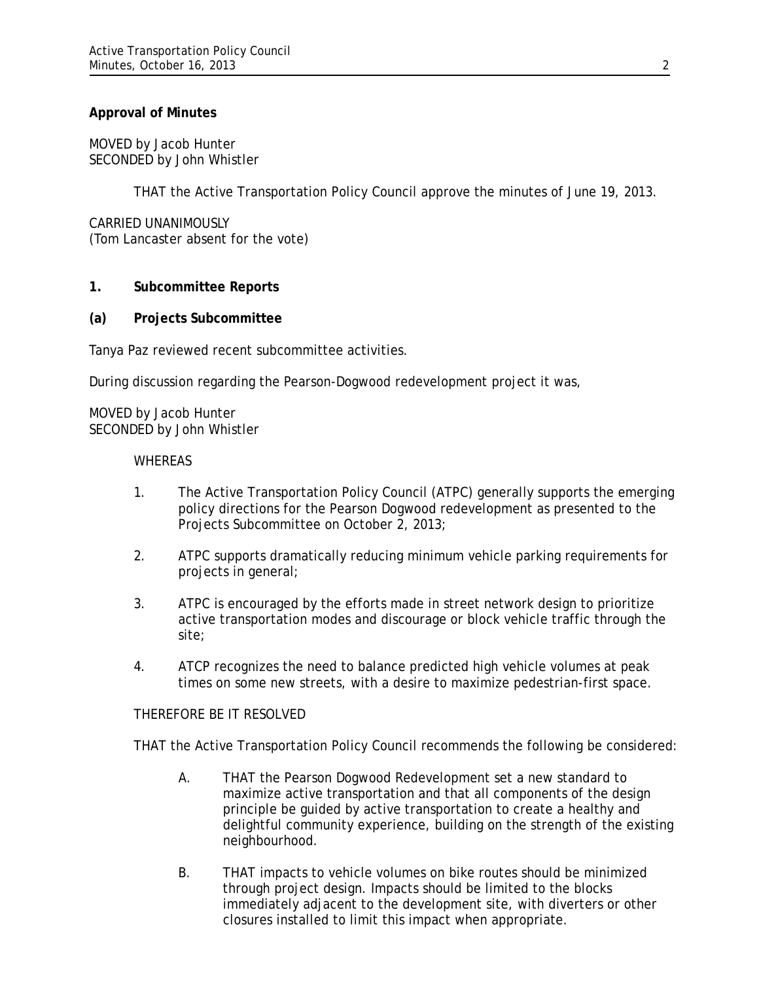## **Approval of Minutes**

MOVED by Jacob Hunter SECONDED by John Whistler

THAT the Active Transportation Policy Council approve the minutes of June 19, 2013.

CARRIED UNANIMOUSLY (Tom Lancaster absent for the vote)

#### **1. Subcommittee Reports**

#### **(a) Projects Subcommittee**

Tanya Paz reviewed recent subcommittee activities.

During discussion regarding the Pearson-Dogwood redevelopment project it was,

MOVED by Jacob Hunter SECONDED by John Whistler

#### WHEREAS

- 1. The Active Transportation Policy Council (ATPC) generally supports the emerging policy directions for the Pearson Dogwood redevelopment as presented to the Projects Subcommittee on October 2, 2013;
- 2. ATPC supports dramatically reducing minimum vehicle parking requirements for projects in general;
- 3. ATPC is encouraged by the efforts made in street network design to prioritize active transportation modes and discourage or block vehicle traffic through the site;
- 4. ATCP recognizes the need to balance predicted high vehicle volumes at peak times on some new streets, with a desire to maximize pedestrian-first space.

#### THEREFORE BE IT RESOLVED

THAT the Active Transportation Policy Council recommends the following be considered:

- A. THAT the Pearson Dogwood Redevelopment set a new standard to maximize active transportation and that all components of the design principle be guided by active transportation to create a healthy and delightful community experience, building on the strength of the existing neighbourhood.
- B. THAT impacts to vehicle volumes on bike routes should be minimized through project design. Impacts should be limited to the blocks immediately adjacent to the development site, with diverters or other closures installed to limit this impact when appropriate.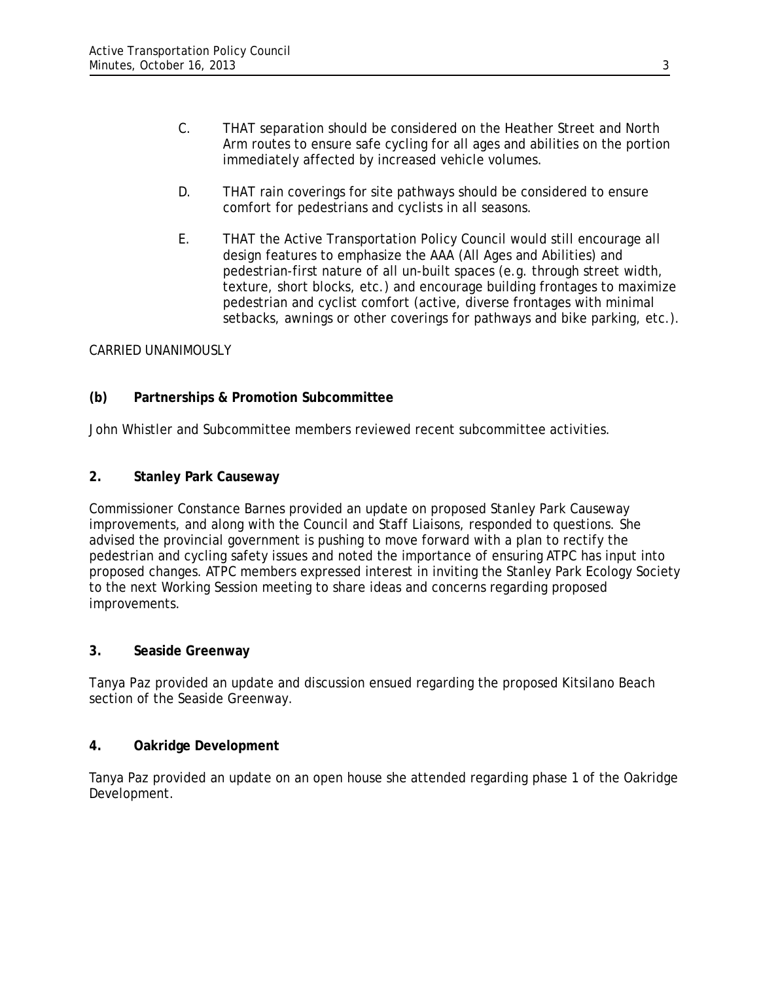- C. THAT separation should be considered on the Heather Street and North Arm routes to ensure safe cycling for all ages and abilities on the portion immediately affected by increased vehicle volumes.
- D. THAT rain coverings for site pathways should be considered to ensure comfort for pedestrians and cyclists in all seasons.
- E. THAT the Active Transportation Policy Council would still encourage all design features to emphasize the AAA (All Ages and Abilities) and pedestrian-first nature of all un-built spaces (e.g. through street width, texture, short blocks, etc.) and encourage building frontages to maximize pedestrian and cyclist comfort (active, diverse frontages with minimal setbacks, awnings or other coverings for pathways and bike parking, etc.).

# CARRIED UNANIMOUSLY

# **(b) Partnerships & Promotion Subcommittee**

John Whistler and Subcommittee members reviewed recent subcommittee activities.

## **2. Stanley Park Causeway**

Commissioner Constance Barnes provided an update on proposed Stanley Park Causeway improvements, and along with the Council and Staff Liaisons, responded to questions. She advised the provincial government is pushing to move forward with a plan to rectify the pedestrian and cycling safety issues and noted the importance of ensuring ATPC has input into proposed changes. ATPC members expressed interest in inviting the Stanley Park Ecology Society to the next Working Session meeting to share ideas and concerns regarding proposed improvements.

## **3. Seaside Greenway**

Tanya Paz provided an update and discussion ensued regarding the proposed Kitsilano Beach section of the Seaside Greenway.

## **4. Oakridge Development**

Tanya Paz provided an update on an open house she attended regarding phase 1 of the Oakridge Development.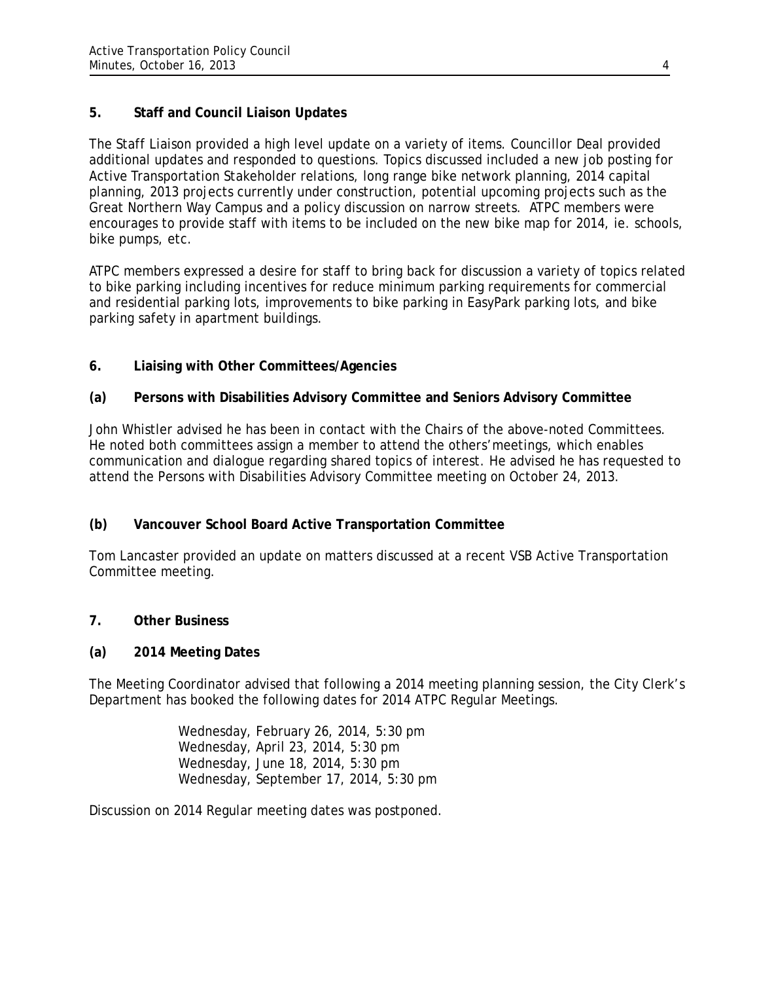# **5. Staff and Council Liaison Updates**

The Staff Liaison provided a high level update on a variety of items. Councillor Deal provided additional updates and responded to questions. Topics discussed included a new job posting for Active Transportation Stakeholder relations, long range bike network planning, 2014 capital planning, 2013 projects currently under construction, potential upcoming projects such as the Great Northern Way Campus and a policy discussion on narrow streets. ATPC members were encourages to provide staff with items to be included on the new bike map for 2014, ie. schools, bike pumps, etc.

ATPC members expressed a desire for staff to bring back for discussion a variety of topics related to bike parking including incentives for reduce minimum parking requirements for commercial and residential parking lots, improvements to bike parking in EasyPark parking lots, and bike parking safety in apartment buildings.

# **6. Liaising with Other Committees/Agencies**

## **(a) Persons with Disabilities Advisory Committee and Seniors Advisory Committee**

John Whistler advised he has been in contact with the Chairs of the above-noted Committees. He noted both committees assign a member to attend the others'meetings, which enables communication and dialogue regarding shared topics of interest. He advised he has requested to attend the Persons with Disabilities Advisory Committee meeting on October 24, 2013.

# **(b) Vancouver School Board Active Transportation Committee**

Tom Lancaster provided an update on matters discussed at a recent VSB Active Transportation Committee meeting.

## **7. Other Business**

## **(a) 2014 Meeting Dates**

The Meeting Coordinator advised that following a 2014 meeting planning session, the City Clerk's Department has booked the following dates for 2014 ATPC Regular Meetings.

> Wednesday, February 26, 2014, 5:30 pm Wednesday, April 23, 2014, 5:30 pm Wednesday, June 18, 2014, 5:30 pm Wednesday, September 17, 2014, 5:30 pm

Discussion on 2014 Regular meeting dates was postponed.